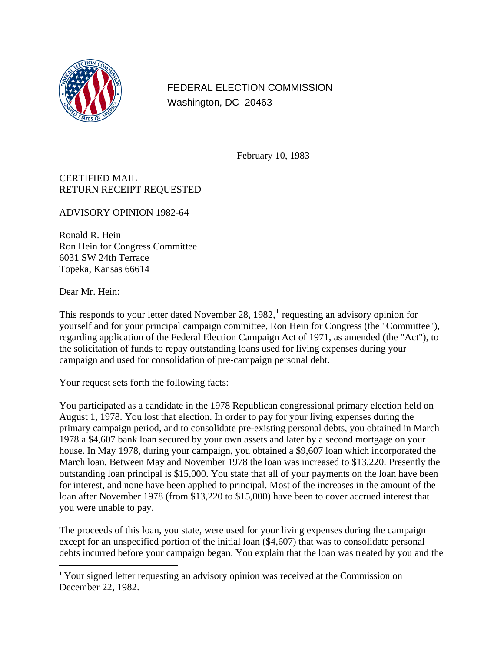

FEDERAL ELECTION COMMISSION Washington, DC 20463

February 10, 1983

CERTIFIED MAIL RETURN RECEIPT REQUESTED

ADVISORY OPINION 1982-64

Ronald R. Hein Ron Hein for Congress Committee 6031 SW 24th Terrace Topeka, Kansas 66614

Dear Mr. Hein:

 $\overline{a}$ 

This responds to your letter dated November 28,  $1982$  $1982$ , requesting an advisory opinion for yourself and for your principal campaign committee, Ron Hein for Congress (the "Committee"), regarding application of the Federal Election Campaign Act of 1971, as amended (the "Act"), to the solicitation of funds to repay outstanding loans used for living expenses during your campaign and used for consolidation of pre-campaign personal debt.

Your request sets forth the following facts:

You participated as a candidate in the 1978 Republican congressional primary election held on August 1, 1978. You lost that election. In order to pay for your living expenses during the primary campaign period, and to consolidate pre-existing personal debts, you obtained in March 1978 a \$4,607 bank loan secured by your own assets and later by a second mortgage on your house. In May 1978, during your campaign, you obtained a \$9,607 loan which incorporated the March loan. Between May and November 1978 the loan was increased to \$13,220. Presently the outstanding loan principal is \$15,000. You state that all of your payments on the loan have been for interest, and none have been applied to principal. Most of the increases in the amount of the loan after November 1978 (from \$13,220 to \$15,000) have been to cover accrued interest that you were unable to pay.

The proceeds of this loan, you state, were used for your living expenses during the campaign except for an unspecified portion of the initial loan (\$4,607) that was to consolidate personal debts incurred before your campaign began. You explain that the loan was treated by you and the

<span id="page-0-0"></span><sup>&</sup>lt;sup>1</sup> Your signed letter requesting an advisory opinion was received at the Commission on December 22, 1982.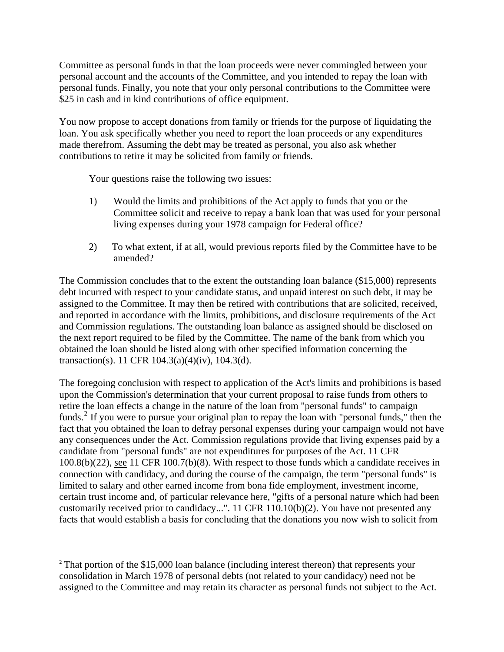Committee as personal funds in that the loan proceeds were never commingled between your personal account and the accounts of the Committee, and you intended to repay the loan with personal funds. Finally, you note that your only personal contributions to the Committee were \$25 in cash and in kind contributions of office equipment.

You now propose to accept donations from family or friends for the purpose of liquidating the loan. You ask specifically whether you need to report the loan proceeds or any expenditures made therefrom. Assuming the debt may be treated as personal, you also ask whether contributions to retire it may be solicited from family or friends.

Your questions raise the following two issues:

- 1) Would the limits and prohibitions of the Act apply to funds that you or the Committee solicit and receive to repay a bank loan that was used for your personal living expenses during your 1978 campaign for Federal office?
- 2) To what extent, if at all, would previous reports filed by the Committee have to be amended?

The Commission concludes that to the extent the outstanding loan balance (\$15,000) represents debt incurred with respect to your candidate status, and unpaid interest on such debt, it may be assigned to the Committee. It may then be retired with contributions that are solicited, received, and reported in accordance with the limits, prohibitions, and disclosure requirements of the Act and Commission regulations. The outstanding loan balance as assigned should be disclosed on the next report required to be filed by the Committee. The name of the bank from which you obtained the loan should be listed along with other specified information concerning the transaction(s). 11 CFR 104.3(a)(4)(iv), 104.3(d).

The foregoing conclusion with respect to application of the Act's limits and prohibitions is based upon the Commission's determination that your current proposal to raise funds from others to retire the loan effects a change in the nature of the loan from "personal funds" to campaign funds.<sup>[2](#page-1-0)</sup> If you were to pursue your original plan to repay the loan with "personal funds," then the fact that you obtained the loan to defray personal expenses during your campaign would not have any consequences under the Act. Commission regulations provide that living expenses paid by a candidate from "personal funds" are not expenditures for purposes of the Act. 11 CFR 100.8(b)(22), see 11 CFR 100.7(b)(8). With respect to those funds which a candidate receives in connection with candidacy, and during the course of the campaign, the term "personal funds" is limited to salary and other earned income from bona fide employment, investment income, certain trust income and, of particular relevance here, "gifts of a personal nature which had been customarily received prior to candidacy...". 11 CFR 110.10(b)(2). You have not presented any facts that would establish a basis for concluding that the donations you now wish to solicit from

1

<span id="page-1-0"></span><sup>&</sup>lt;sup>2</sup> That portion of the \$15,000 loan balance (including interest thereon) that represents your consolidation in March 1978 of personal debts (not related to your candidacy) need not be assigned to the Committee and may retain its character as personal funds not subject to the Act.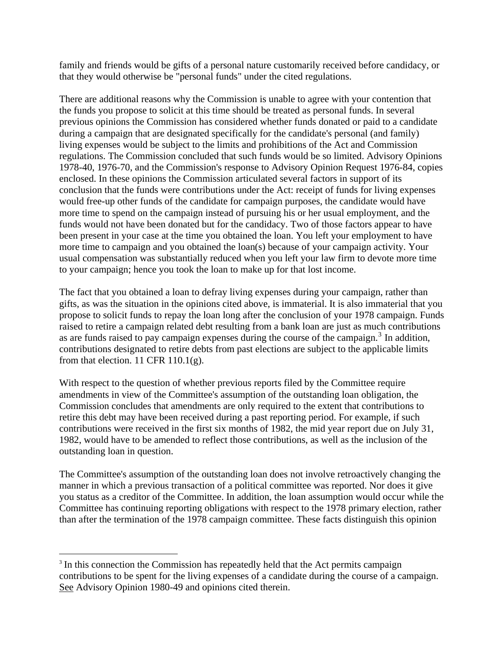family and friends would be gifts of a personal nature customarily received before candidacy, or that they would otherwise be "personal funds" under the cited regulations.

There are additional reasons why the Commission is unable to agree with your contention that the funds you propose to solicit at this time should be treated as personal funds. In several previous opinions the Commission has considered whether funds donated or paid to a candidate during a campaign that are designated specifically for the candidate's personal (and family) living expenses would be subject to the limits and prohibitions of the Act and Commission regulations. The Commission concluded that such funds would be so limited. Advisory Opinions 1978-40, 1976-70, and the Commission's response to Advisory Opinion Request 1976-84, copies enclosed. In these opinions the Commission articulated several factors in support of its conclusion that the funds were contributions under the Act: receipt of funds for living expenses would free-up other funds of the candidate for campaign purposes, the candidate would have more time to spend on the campaign instead of pursuing his or her usual employment, and the funds would not have been donated but for the candidacy. Two of those factors appear to have been present in your case at the time you obtained the loan. You left your employment to have more time to campaign and you obtained the loan(s) because of your campaign activity. Your usual compensation was substantially reduced when you left your law firm to devote more time to your campaign; hence you took the loan to make up for that lost income.

The fact that you obtained a loan to defray living expenses during your campaign, rather than gifts, as was the situation in the opinions cited above, is immaterial. It is also immaterial that you propose to solicit funds to repay the loan long after the conclusion of your 1978 campaign. Funds raised to retire a campaign related debt resulting from a bank loan are just as much contributions as are funds raised to pay campaign expenses during the course of the campaign. $3$  In addition, contributions designated to retire debts from past elections are subject to the applicable limits from that election. 11 CFR 110.1(g).

With respect to the question of whether previous reports filed by the Committee require amendments in view of the Committee's assumption of the outstanding loan obligation, the Commission concludes that amendments are only required to the extent that contributions to retire this debt may have been received during a past reporting period. For example, if such contributions were received in the first six months of 1982, the mid year report due on July 31, 1982, would have to be amended to reflect those contributions, as well as the inclusion of the outstanding loan in question.

The Committee's assumption of the outstanding loan does not involve retroactively changing the manner in which a previous transaction of a political committee was reported. Nor does it give you status as a creditor of the Committee. In addition, the loan assumption would occur while the Committee has continuing reporting obligations with respect to the 1978 primary election, rather than after the termination of the 1978 campaign committee. These facts distinguish this opinion

 $\overline{a}$ 

<span id="page-2-0"></span><sup>&</sup>lt;sup>3</sup> In this connection the Commission has repeatedly held that the Act permits campaign contributions to be spent for the living expenses of a candidate during the course of a campaign. See Advisory Opinion 1980-49 and opinions cited therein.